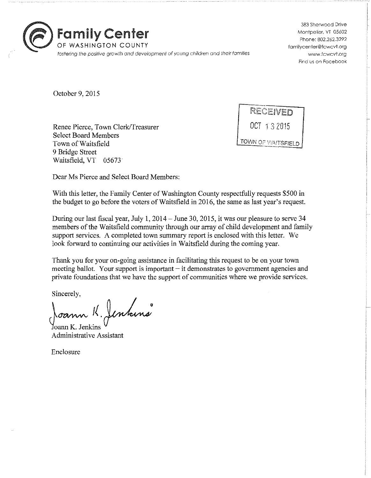

383 Sherwood Drive Montpelier, VT 05602 Phone: 802.262.3292 familycenter@fcwcvt.org www.fcwcvt.org Find us on Facebook

October 9, 2015

Renee Pierce, Town Clerk/Treasurer Select Board Members Town of Waitsfield 9 Bridge Street Waitsfield, VT 05673

RECEIVED OCT 1 3 2015 TOWN OF WAITSFIELD

Dear Ms Pierce and Select Board Members:

With this letter, the Family Center of Washington County respectfully requests \$500 in the budget to go before the voters of Waitsfield in 2016, the same as last year's request.

During our last fiscal year, July 1, 2014-June 30, 2015, it was our pleasure to serve 34 members of the Waitsfield community through our array of child development and family support services. A completed town summary report is enclosed with this letter. We look forward to continuing our activities in Waitsfield during the coming year.

Thank you for your on-going assistance in facilitating this request to be on your town meeting ballot. Your support is important  $-$  it demonstrates to government agencies and private foundations that we have the support of communities where we provide services.

Sincerely,

oann K. Jenkins

Joann K. Jenkins Administrative Assistant

Enclosure